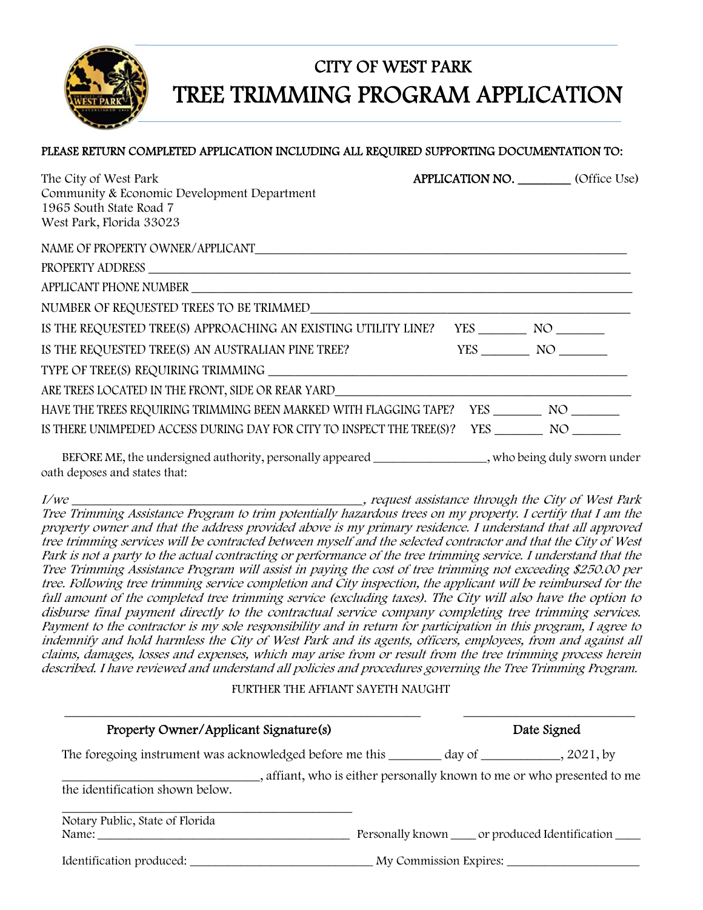

### CITY OF WEST PARK TREE TRIMMING PROGRAM APPLICATION

#### PLEASE RETURN COMPLETED APPLICATION INCLUDING ALL REQUIRED SUPPORTING DOCUMENTATION TO:

| The City of West Park<br>Community & Economic Development Department<br>1965 South State Road 7<br>West Park, Florida 33023             | <b>APPLICATION NO.</b> (Office Use) |        |
|-----------------------------------------------------------------------------------------------------------------------------------------|-------------------------------------|--------|
|                                                                                                                                         |                                     |        |
|                                                                                                                                         |                                     |        |
|                                                                                                                                         |                                     |        |
|                                                                                                                                         |                                     |        |
| IS THE REQUESTED TREE(S) APPROACHING AN EXISTING UTILITY LINE? YES _________ NO _______                                                 |                                     |        |
| IS THE REQUESTED TREE(S) AN AUSTRALIAN PINE TREE?                                                                                       |                                     | YES NO |
|                                                                                                                                         |                                     |        |
|                                                                                                                                         |                                     |        |
| HAVE THE TREES REQUIRING TRIMMING BEEN MARKED WITH FLAGGING TAPE? YES _________ NO ________                                             |                                     |        |
| IS THERE UNIMPEDED ACCESS DURING DAY FOR CITY TO INSPECT THE TREE(S)? YES ___________ NO __________                                     |                                     |        |
| BEFORE ME, the undersigned authority, personally appeared ________________, who being duly sworn under<br>oath deposes and states that: |                                     |        |

I/we \_\_\_\_\_\_\_\_\_\_\_\_\_\_\_\_\_\_\_\_\_\_\_\_\_\_\_\_\_\_\_\_\_\_\_\_\_\_\_\_\_\_\_\_, request assistance through the City of West Park Tree Trimming Assistance Program to trim potentially hazardous trees on my property. I certify that I am the property owner and that the address provided above is my primary residence. I understand that all approved tree trimming services will be contracted between myself and the selected contractor and that the City of West Park is not a party to the actual contracting or performance of the tree trimming service. I understand that the Tree Trimming Assistance Program will assist in paying the cost of tree trimming not exceeding \$250.00 per tree. Following tree trimming service completion and City inspection, the applicant will be reimbursed for the full amount of the completed tree trimming service (excluding taxes). The City will also have the option to disburse final payment directly to the contractual service company completing tree trimming services. Payment to the contractor is my sole responsibility and in return for participation in this program, I agree to indemnify and hold harmless the City of West Park and its agents, officers, employees, from and against all claims, damages, losses and expenses, which may arise from or result from the tree trimming process herein described. I have reviewed and understand all policies and procedures governing the Tree Trimming Program.

FURTHER THE AFFIANT SAYETH NAUGHT

| Property Owner/Applicant Signature(s)                                                            |                                                                         | Date Signed                                       |  |
|--------------------------------------------------------------------------------------------------|-------------------------------------------------------------------------|---------------------------------------------------|--|
| The foregoing instrument was acknowledged before me this __________ day of ___________, 2021, by |                                                                         |                                                   |  |
|                                                                                                  | _, affiant, who is either personally known to me or who presented to me |                                                   |  |
|                                                                                                  |                                                                         |                                                   |  |
| the identification shown below.<br>Notary Public, State of Florida                               |                                                                         | Personally known _____ or produced Identification |  |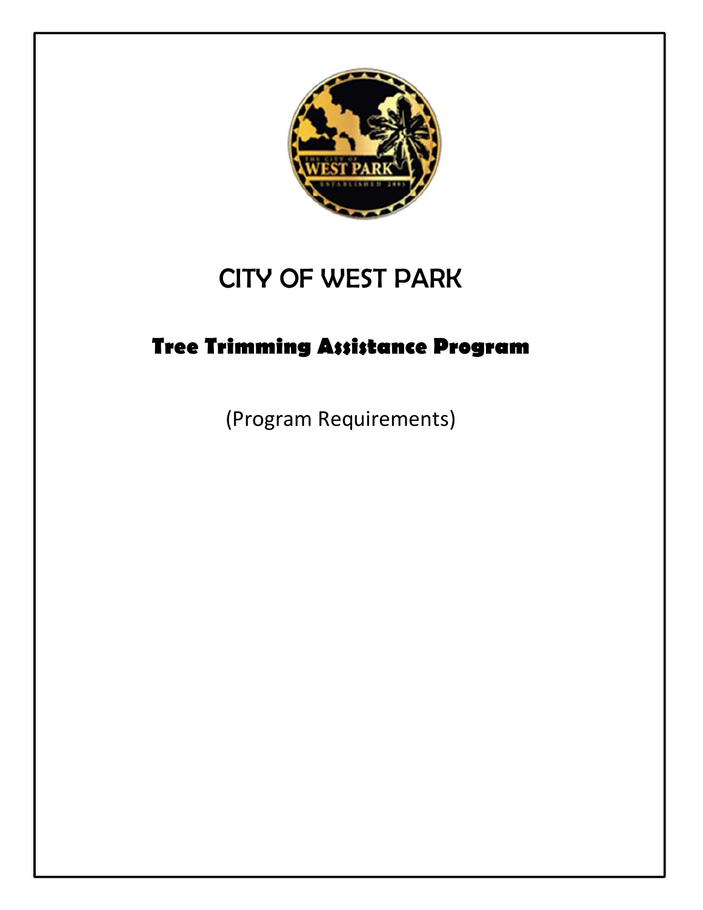

# CITY OF WEST PARK

### **Tree Trimming Assistance Program**

(Program Requirements)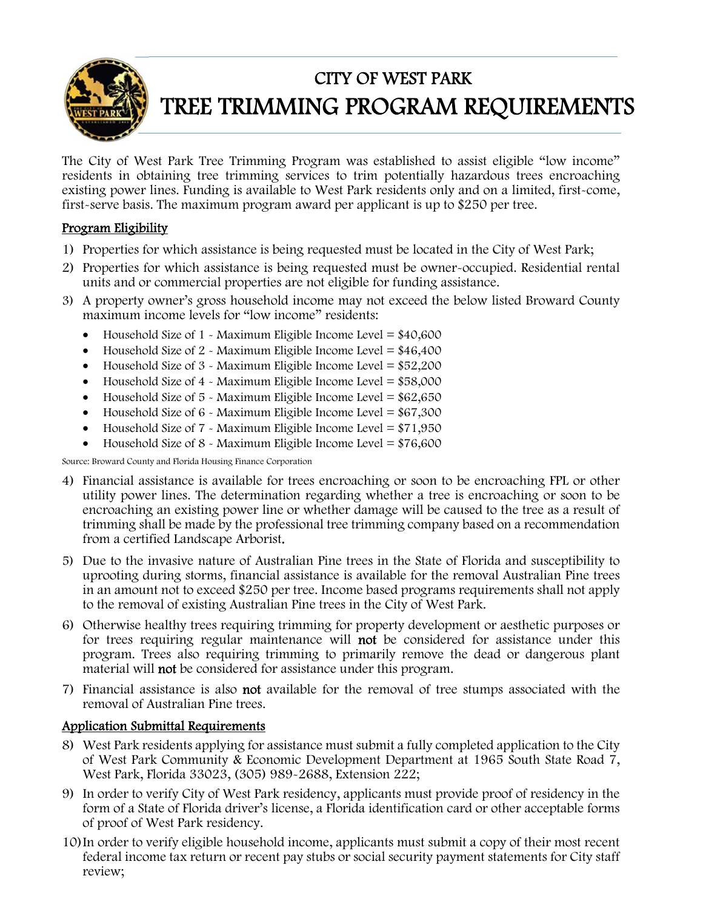

### CITY OF WEST PARK TREE TRIMMING PROGRAM REQUIREMENTS

The City of West Park Tree Trimming Program was established to assist eligible "low income" residents in obtaining tree trimming services to trim potentially hazardous trees encroaching existing power lines. Funding is available to West Park residents only and on a limited, first-come, first-serve basis. The maximum program award per applicant is up to \$250 per tree.

#### Program Eligibility

- 1) Properties for which assistance is being requested must be located in the City of West Park;
- 2) Properties for which assistance is being requested must be owner-occupied. Residential rental units and or commercial properties are not eligible for funding assistance.
- 3) A property owner's gross household income may not exceed the below listed Broward County maximum income levels for "low income" residents:
	- Household Size of  $1 \times$  Maximum Eligible Income Level = \$40,600
	- $\bullet$  Household Size of 2 Maximum Eligible Income Level = \$46,400
	- Household Size of  $3 \times$  Maximum Eligible Income Level = \$52,200
	- $\bullet$  Household Size of 4 Maximum Eligible Income Level = \$58,000
	- Household Size of  $5 \times$  Maximum Eligible Income Level = \$62,650
	- Household Size of 6 Maximum Eligible Income Level = \$67,300
	- Household Size of  $7 \text{ -}$  Maximum Eligible Income Level = \$71,950
	- Household Size of  $8 \text{ -}$  Maximum Eligible Income Level = \$76,600

Source: Broward County and Florida Housing Finance Corporation

- 4) Financial assistance is available for trees encroaching or soon to be encroaching FPL or other utility power lines. The determination regarding whether a tree is encroaching or soon to be encroaching an existing power line or whether damage will be caused to the tree as a result of trimming shall be made by the professional tree trimming company based on a recommendation from a certified Landscape Arborist.
- 5) Due to the invasive nature of Australian Pine trees in the State of Florida and susceptibility to uprooting during storms, financial assistance is available for the removal Australian Pine trees in an amount not to exceed \$250 per tree. Income based programs requirements shall not apply to the removal of existing Australian Pine trees in the City of West Park.
- 6) Otherwise healthy trees requiring trimming for property development or aesthetic purposes or for trees requiring regular maintenance will not be considered for assistance under this program. Trees also requiring trimming to primarily remove the dead or dangerous plant material will not be considered for assistance under this program.
- 7) Financial assistance is also not available for the removal of tree stumps associated with the removal of Australian Pine trees.

#### Application Submittal Requirements

- 8) West Park residents applying for assistance must submit a fully completed application to the City of West Park Community & Economic Development Department at 1965 South State Road 7, West Park, Florida 33023, (305) 989-2688, Extension 222;
- 9) In order to verify City of West Park residency, applicants must provide proof of residency in the form of a State of Florida driver's license, a Florida identification card or other acceptable forms of proof of West Park residency.
- 10)In order to verify eligible household income, applicants must submit a copy of their most recent federal income tax return or recent pay stubs or social security payment statements for City staff review;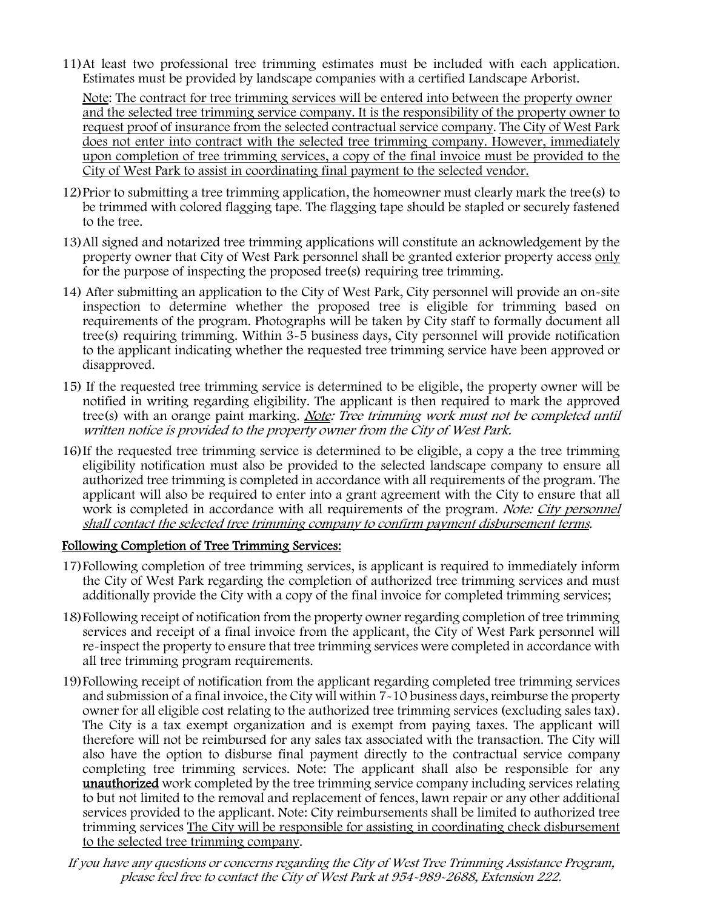11)At least two professional tree trimming estimates must be included with each application. Estimates must be provided by landscape companies with a certified Landscape Arborist.

Note: The contract for tree trimming services will be entered into between the property owner and the selected tree trimming service company. It is the responsibility of the property owner to request proof of insurance from the selected contractual service company. The City of West Park does not enter into contract with the selected tree trimming company. However, immediately upon completion of tree trimming services, a copy of the final invoice must be provided to the City of West Park to assist in coordinating final payment to the selected vendor.

- 12)Prior to submitting a tree trimming application, the homeowner must clearly mark the tree(s) to be trimmed with colored flagging tape. The flagging tape should be stapled or securely fastened to the tree.
- 13) All signed and notarized tree trimming applications will constitute an acknowledgement by the property owner that City of West Park personnel shall be granted exterior property access only for the purpose of inspecting the proposed tree(s) requiring tree trimming.
- 14) After submitting an application to the City of West Park, City personnel will provide an on-site inspection to determine whether the proposed tree is eligible for trimming based on requirements of the program. Photographs will be taken by City staff to formally document all tree(s) requiring trimming. Within 3-5 business days, City personnel will provide notification to the applicant indicating whether the requested tree trimming service have been approved or disapproved.
- 15) If the requested tree trimming service is determined to be eligible, the property owner will be notified in writing regarding eligibility. The applicant is then required to mark the approved tree(s) with an orange paint marking. Note: Tree trimming work must not be completed until written notice is provided to the property owner from the City of West Park.
- 16) If the requested tree trimming service is determined to be eligible, a copy a the tree trimming eligibility notification must also be provided to the selected landscape company to ensure all authorized tree trimming is completed in accordance with all requirements of the program. The applicant will also be required to enter into a grant agreement with the City to ensure that all work is completed in accordance with all requirements of the program. Note: City personnel shall contact the selected tree trimming company to confirm payment disbursement terms.

#### Following Completion of Tree Trimming Services:

- 17)Following completion of tree trimming services, is applicant is required to immediately inform the City of West Park regarding the completion of authorized tree trimming services and must additionally provide the City with a copy of the final invoice for completed trimming services;
- 18)Following receipt of notification from the property owner regarding completion of tree trimming services and receipt of a final invoice from the applicant, the City of West Park personnel will re-inspect the property to ensure that tree trimming services were completed in accordance with all tree trimming program requirements.
- 19)Following receipt of notification from the applicant regarding completed tree trimming services and submission of a final invoice, the City will within 7-10 business days, reimburse the property owner for all eligible cost relating to the authorized tree trimming services (excluding sales tax). The City is a tax exempt organization and is exempt from paying taxes. The applicant will therefore will not be reimbursed for any sales tax associated with the transaction. The City will also have the option to disburse final payment directly to the contractual service company completing tree trimming services. Note: The applicant shall also be responsible for any unauthorized work completed by the tree trimming service company including services relating to but not limited to the removal and replacement of fences, lawn repair or any other additional services provided to the applicant. Note: City reimbursements shall be limited to authorized tree trimming services The City will be responsible for assisting in coordinating check disbursement to the selected tree trimming company.

If you have any questions or concerns regarding the City of West Tree Trimming Assistance Program, please feel free to contact the City of West Park at 954-989-2688, Extension 222.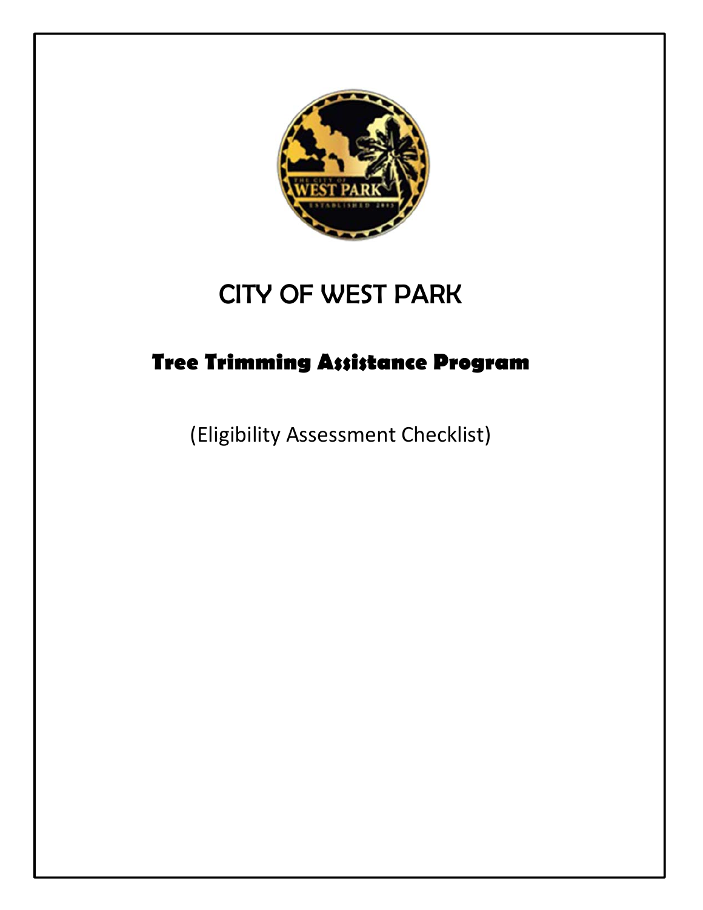

## CITY OF WEST PARK

## **Tree Trimming Assistance Program**

(Eligibility Assessment Checklist)